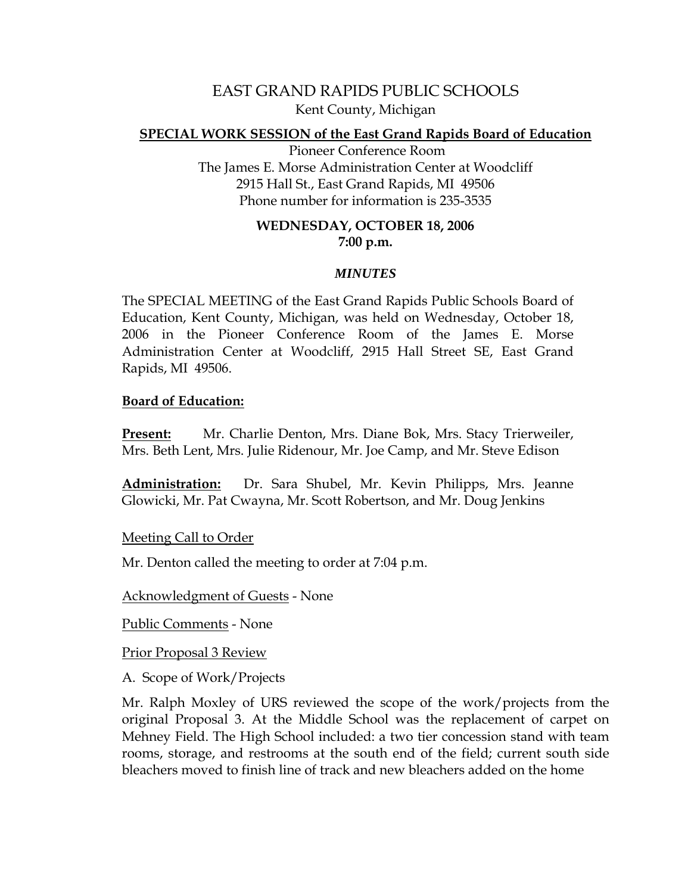# EAST GRAND RAPIDS PUBLIC SCHOOLS Kent County, Michigan

#### **SPECIAL WORK SESSION of the East Grand Rapids Board of Education**

 Pioneer Conference Room The James E. Morse Administration Center at Woodcliff 2915 Hall St., East Grand Rapids, MI 49506 Phone number for information is 235-3535

#### **WEDNESDAY, OCTOBER 18, 2006 7:00 p.m.**

## *MINUTES*

The SPECIAL MEETING of the East Grand Rapids Public Schools Board of Education, Kent County, Michigan, was held on Wednesday, October 18, 2006 in the Pioneer Conference Room of the James E. Morse Administration Center at Woodcliff, 2915 Hall Street SE, East Grand Rapids, MI 49506.

#### **Board of Education:**

**Present:** Mr. Charlie Denton, Mrs. Diane Bok, Mrs. Stacy Trierweiler, Mrs. Beth Lent, Mrs. Julie Ridenour, Mr. Joe Camp, and Mr. Steve Edison

**Administration:** Dr. Sara Shubel, Mr. Kevin Philipps, Mrs. Jeanne Glowicki, Mr. Pat Cwayna, Mr. Scott Robertson, and Mr. Doug Jenkins

Meeting Call to Order

Mr. Denton called the meeting to order at 7:04 p.m.

Acknowledgment of Guests - None

Public Comments - None

Prior Proposal 3 Review

A. Scope of Work/Projects

Mr. Ralph Moxley of URS reviewed the scope of the work/projects from the original Proposal 3. At the Middle School was the replacement of carpet on Mehney Field. The High School included: a two tier concession stand with team rooms, storage, and restrooms at the south end of the field; current south side bleachers moved to finish line of track and new bleachers added on the home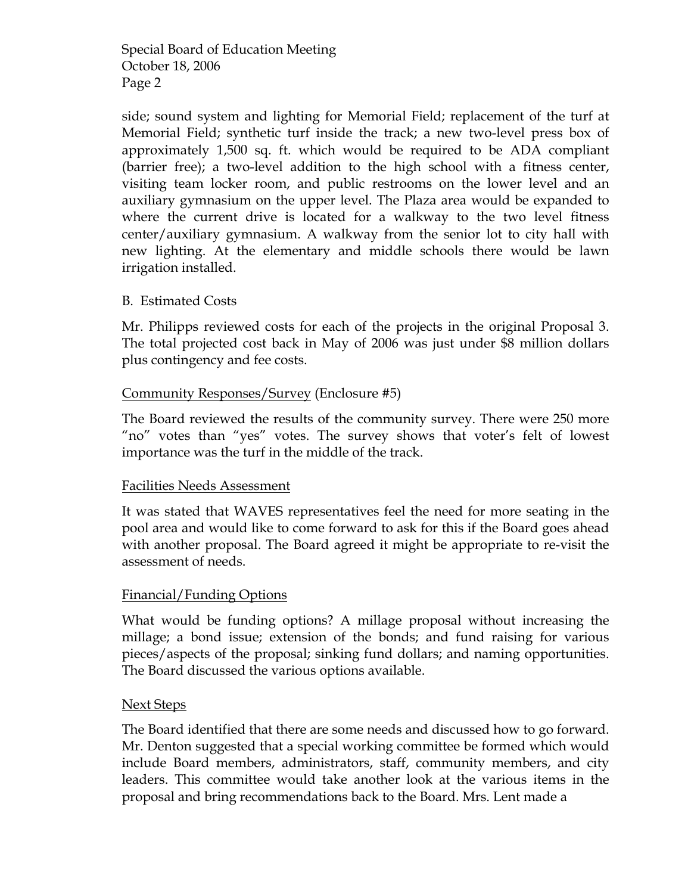Special Board of Education Meeting October 18, 2006 Page 2

side; sound system and lighting for Memorial Field; replacement of the turf at Memorial Field; synthetic turf inside the track; a new two-level press box of approximately 1,500 sq. ft. which would be required to be ADA compliant (barrier free); a two-level addition to the high school with a fitness center, visiting team locker room, and public restrooms on the lower level and an auxiliary gymnasium on the upper level. The Plaza area would be expanded to where the current drive is located for a walkway to the two level fitness center/auxiliary gymnasium. A walkway from the senior lot to city hall with new lighting. At the elementary and middle schools there would be lawn irrigation installed.

B. Estimated Costs

Mr. Philipps reviewed costs for each of the projects in the original Proposal 3. The total projected cost back in May of 2006 was just under \$8 million dollars plus contingency and fee costs.

## Community Responses/Survey (Enclosure #5)

The Board reviewed the results of the community survey. There were 250 more "no" votes than "yes" votes. The survey shows that voter's felt of lowest importance was the turf in the middle of the track.

## Facilities Needs Assessment

It was stated that WAVES representatives feel the need for more seating in the pool area and would like to come forward to ask for this if the Board goes ahead with another proposal. The Board agreed it might be appropriate to re-visit the assessment of needs.

## Financial/Funding Options

What would be funding options? A millage proposal without increasing the millage; a bond issue; extension of the bonds; and fund raising for various pieces/aspects of the proposal; sinking fund dollars; and naming opportunities. The Board discussed the various options available.

## Next Steps

The Board identified that there are some needs and discussed how to go forward. Mr. Denton suggested that a special working committee be formed which would include Board members, administrators, staff, community members, and city leaders. This committee would take another look at the various items in the proposal and bring recommendations back to the Board. Mrs. Lent made a